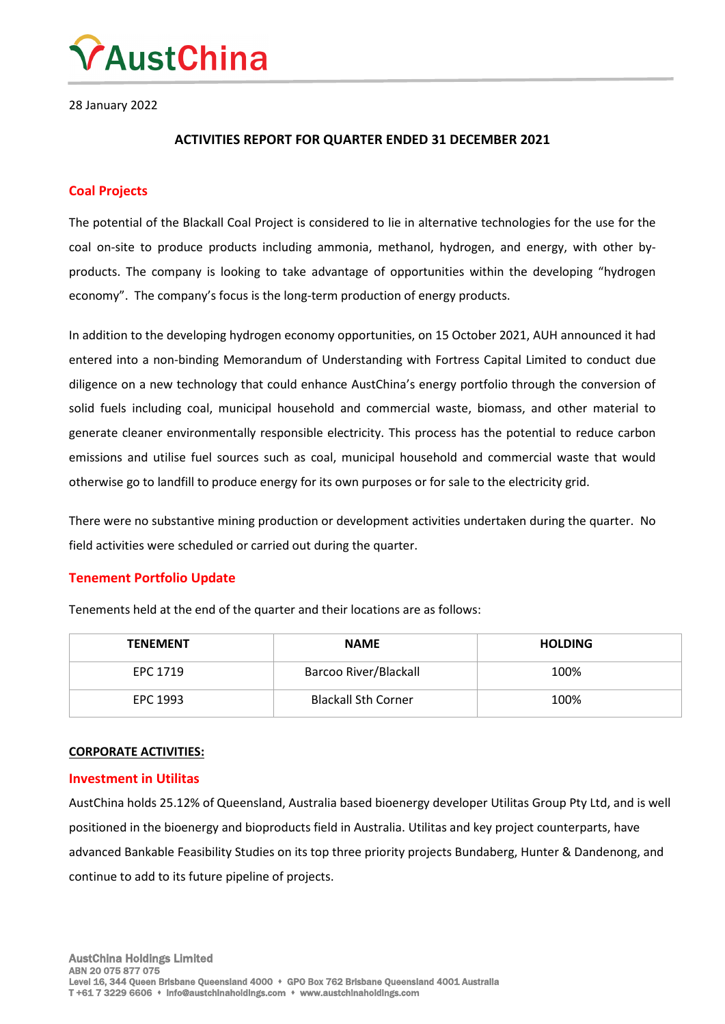

28 January 2022

## **ACTIVITIES REPORT FOR QUARTER ENDED 31 DECEMBER 2021**

## **Coal Projects**

The potential of the Blackall Coal Project is considered to lie in alternative technologies for the use for the coal on-site to produce products including ammonia, methanol, hydrogen, and energy, with other byproducts. The company is looking to take advantage of opportunities within the developing "hydrogen economy". The company's focus is the long-term production of energy products.

In addition to the developing hydrogen economy opportunities, on 15 October 2021, AUH announced it had entered into a non-binding Memorandum of Understanding with Fortress Capital Limited to conduct due diligence on a new technology that could enhance AustChina's energy portfolio through the conversion of solid fuels including coal, municipal household and commercial waste, biomass, and other material to generate cleaner environmentally responsible electricity. This process has the potential to reduce carbon emissions and utilise fuel sources such as coal, municipal household and commercial waste that would otherwise go to landfill to produce energy for its own purposes or for sale to the electricity grid.

There were no substantive mining production or development activities undertaken during the quarter. No field activities were scheduled or carried out during the quarter.

## **Tenement Portfolio Update**

Tenements held at the end of the quarter and their locations are as follows:

| <b>TENEMENT</b> | <b>NAME</b>                | <b>HOLDING</b> |
|-----------------|----------------------------|----------------|
| EPC 1719        | Barcoo River/Blackall      | 100%           |
| EPC 1993        | <b>Blackall Sth Corner</b> | 100%           |

## **CORPORATE ACTIVITIES:**

#### **Investment in Utilitas**

AustChina holds 25.12% of Queensland, Australia based bioenergy developer Utilitas Group Pty Ltd, and is well positioned in the bioenergy and bioproducts field in Australia. Utilitas and key project counterparts, have advanced Bankable Feasibility Studies on its top three priority projects Bundaberg, Hunter & Dandenong, and continue to add to its future pipeline of projects.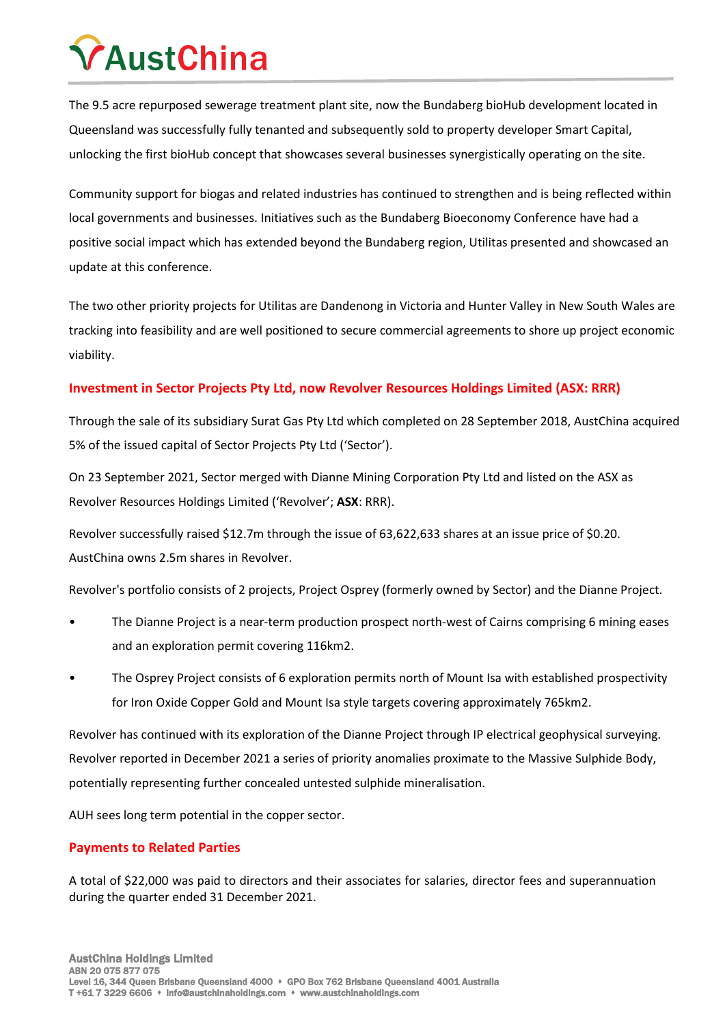# **AustChina**

The 9.5 acre repurposed sewerage treatment plant site, now the Bundaberg bioHub development located in Queensland was successfully fully tenanted and subsequently sold to property developer Smart Capital, unlocking the first bioHub concept that showcases several businesses synergistically operating on the site.

Community support for biogas and related industries has continued to strengthen and is being reflected within local governments and businesses. Initiatives such as the Bundaberg Bioeconomy Conference have had a positive social impact which has extended beyond the Bundaberg region, Utilitas presented and showcased an update at this conference.

The two other priority projects for Utilitas are Dandenong in Victoria and Hunter Valley in New South Wales are tracking into feasibility and are well positioned to secure commercial agreements to shore up project economic viability.

# **Investment in Sector Projects Pty Ltd, now Revolver Resources Holdings Limited (ASX: RRR)**

Through the sale of its subsidiary Surat Gas Pty Ltd which completed on 28 September 2018, AustChina acquired 5% of the issued capital of Sector Projects Pty Ltd ('Sector').

On 23 September 2021, Sector merged with Dianne Mining Corporation Pty Ltd and listed on the ASX as Revolver Resources Holdings Limited ('Revolver'; **ASX**: RRR).

Revolver successfully raised \$12.7m through the issue of 63,622,633 shares at an issue price of \$0.20. AustChina owns 2.5m shares in Revolver.

Revolver's portfolio consists of 2 projects, Project Osprey (formerly owned by Sector) and the Dianne Project.

- The Dianne Project is a near-term production prospect north-west of Cairns comprising 6 mining eases and an exploration permit covering 116km2.
- The Osprey Project consists of 6 exploration permits north of Mount Isa with established prospectivity for Iron Oxide Copper Gold and Mount Isa style targets covering approximately 765km2.

Revolver has continued with its exploration of the Dianne Project through IP electrical geophysical surveying. Revolver reported in December 2021 a series of priority anomalies proximate to the Massive Sulphide Body, potentially representing further concealed untested sulphide mineralisation.

AUH sees long term potential in the copper sector.

# **Payments to Related Parties**

A total of \$22,000 was paid to directors and their associates for salaries, director fees and superannuation during the quarter ended 31 December 2021.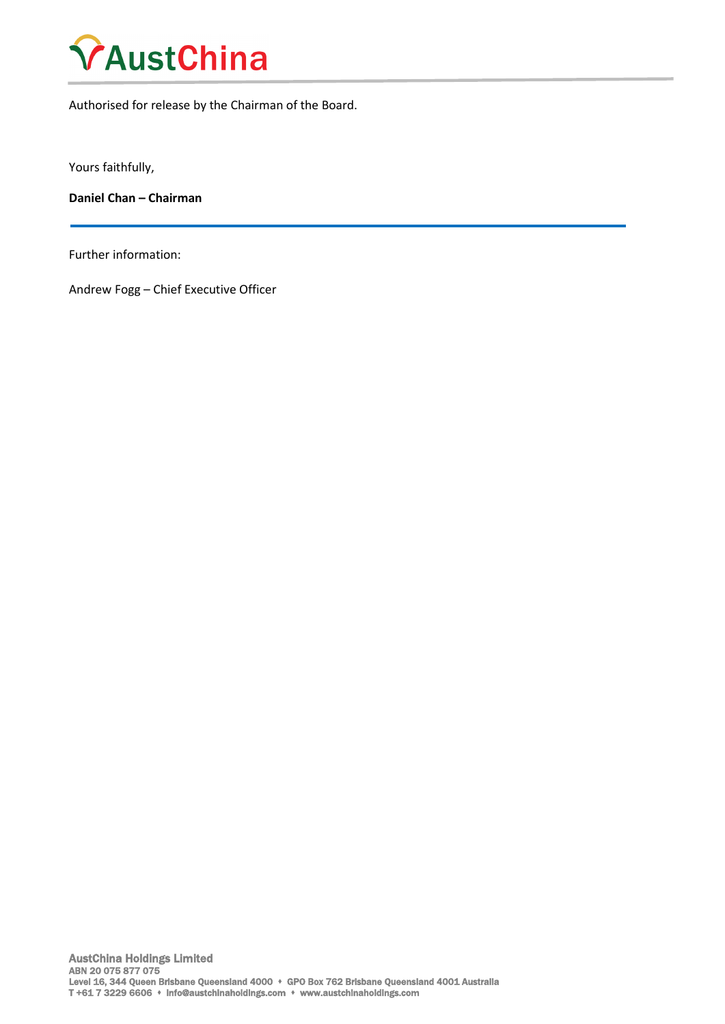

Authorised for release by the Chairman of the Board.

Yours faithfully,

**Daniel Chan – Chairman**

Further information:

Andrew Fogg – Chief Executive Officer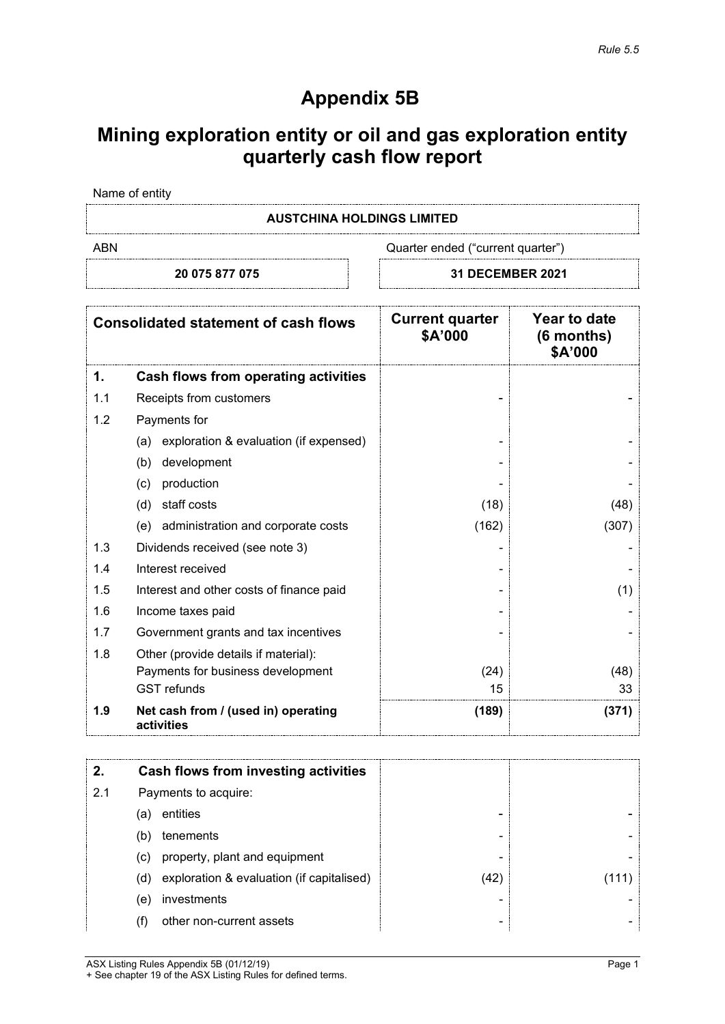# **Appendix 5B**

# **Mining exploration entity or oil and gas exploration entity quarterly cash flow report**

Name of entity

## **AUSTCHINA HOLDINGS LIMITED**

ABN ABN Cuarter ended ("current quarter")

**20 075 877 075 31 DECEMBER 2021**

|     | <b>Consolidated statement of cash flows</b>       | <b>Current quarter</b><br>\$A'000 | Year to date<br>(6 months)<br>\$A'000 |
|-----|---------------------------------------------------|-----------------------------------|---------------------------------------|
| 1.  | Cash flows from operating activities              |                                   |                                       |
| 1.1 | Receipts from customers                           |                                   |                                       |
| 1.2 | Payments for                                      |                                   |                                       |
|     | exploration & evaluation (if expensed)<br>(a)     |                                   |                                       |
|     | development<br>(b)                                |                                   |                                       |
|     | production<br>(c)                                 |                                   |                                       |
|     | staff costs<br>(d)                                | (18)                              | (48)                                  |
|     | administration and corporate costs<br>(e)         | (162)                             | (307)                                 |
| 1.3 | Dividends received (see note 3)                   |                                   |                                       |
| 1.4 | Interest received                                 |                                   |                                       |
| 1.5 | Interest and other costs of finance paid          |                                   | (1)                                   |
| 1.6 | Income taxes paid                                 |                                   |                                       |
| 1.7 | Government grants and tax incentives              |                                   |                                       |
| 1.8 | Other (provide details if material):              |                                   |                                       |
|     | Payments for business development                 | (24)                              | (48)                                  |
|     | <b>GST</b> refunds                                | 15                                | 33                                    |
| 1.9 | Net cash from / (used in) operating<br>activities | (189)                             | (371)                                 |

|     |                      | Cash flows from investing activities      |      |  |
|-----|----------------------|-------------------------------------------|------|--|
| 2.1 | Payments to acquire: |                                           |      |  |
|     | (a                   | entities                                  | -    |  |
|     | (b)                  | tenements                                 | -    |  |
|     | (c)                  | property, plant and equipment             | -    |  |
|     | (d)                  | exploration & evaluation (if capitalised) | (42) |  |
|     | (e                   | investments                               | -    |  |
|     |                      | other non-current assets                  | -    |  |

ASX Listing Rules Appendix 5B (01/12/19) **Page 1** + See chapter 19 of the ASX Listing Rules for defined terms.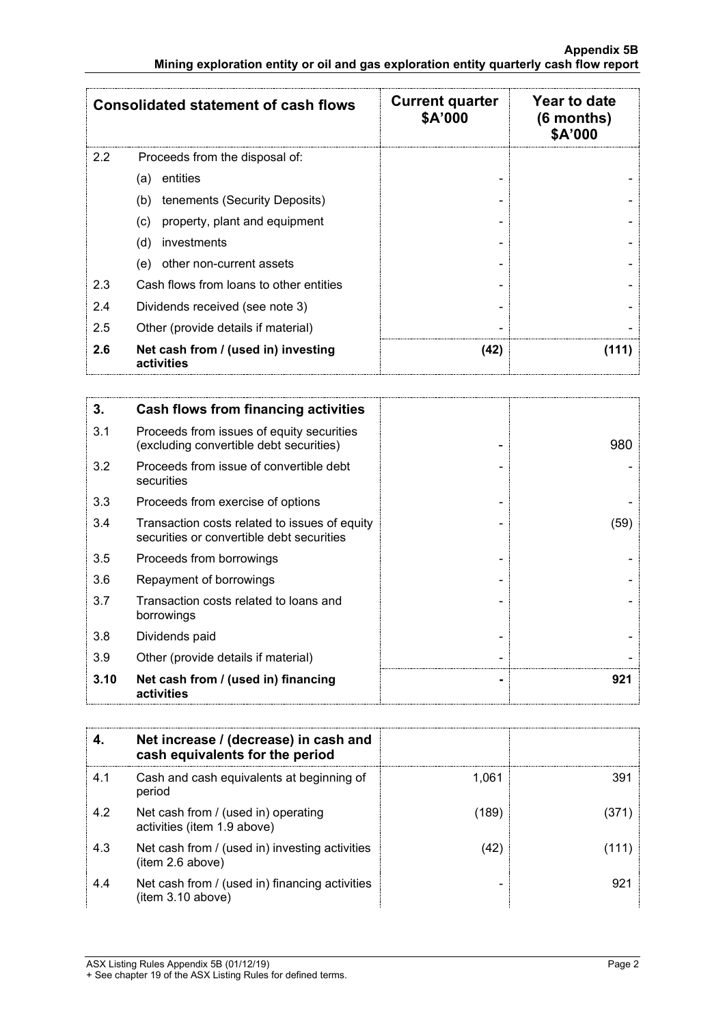|               | <b>Consolidated statement of cash flows</b>       | <b>Current quarter</b><br>\$A'000 | Year to date<br>$(6$ months)<br>\$A'000 |
|---------------|---------------------------------------------------|-----------------------------------|-----------------------------------------|
| $2.2^{\circ}$ | Proceeds from the disposal of:                    |                                   |                                         |
|               | entities<br>(a)                                   |                                   |                                         |
|               | (b)<br>tenements (Security Deposits)              |                                   |                                         |
|               | property, plant and equipment<br>(C)              |                                   |                                         |
|               | investments<br>(d)                                |                                   |                                         |
|               | other non-current assets<br>(e)                   |                                   |                                         |
| 2.3           | Cash flows from loans to other entities           |                                   |                                         |
| 2.4           | Dividends received (see note 3)                   |                                   |                                         |
| 2.5           | Other (provide details if material)               |                                   |                                         |
| 2.6           | Net cash from / (used in) investing<br>activities | (42)                              | 1111                                    |

| 3.   | <b>Cash flows from financing activities</b>                                                |      |
|------|--------------------------------------------------------------------------------------------|------|
| 3.1  | Proceeds from issues of equity securities<br>(excluding convertible debt securities)       | 980  |
| 3.2  | Proceeds from issue of convertible debt<br>securities                                      |      |
| 3.3  | Proceeds from exercise of options                                                          |      |
| 3.4  | Transaction costs related to issues of equity<br>securities or convertible debt securities | (59) |
| 3.5  | Proceeds from borrowings                                                                   |      |
| 3.6  | Repayment of borrowings                                                                    |      |
| 3.7  | Transaction costs related to loans and<br>borrowings                                       |      |
| 3.8  | Dividends paid                                                                             |      |
| 3.9  | Other (provide details if material)                                                        |      |
| 3.10 | Net cash from / (used in) financing<br>activities                                          | 921  |

|     | Net increase / (decrease) in cash and<br>cash equivalents for the period |       |     |
|-----|--------------------------------------------------------------------------|-------|-----|
| 4.1 | Cash and cash equivalents at beginning of<br>period                      | 1.061 | 391 |
| 4.2 | Net cash from / (used in) operating<br>activities (item 1.9 above)       | (189) |     |
| 4.3 | Net cash from / (used in) investing activities<br>(item 2.6 above)       | (42   |     |
| 4.4 | Net cash from / (used in) financing activities<br>(item 3.10 above)      |       | 921 |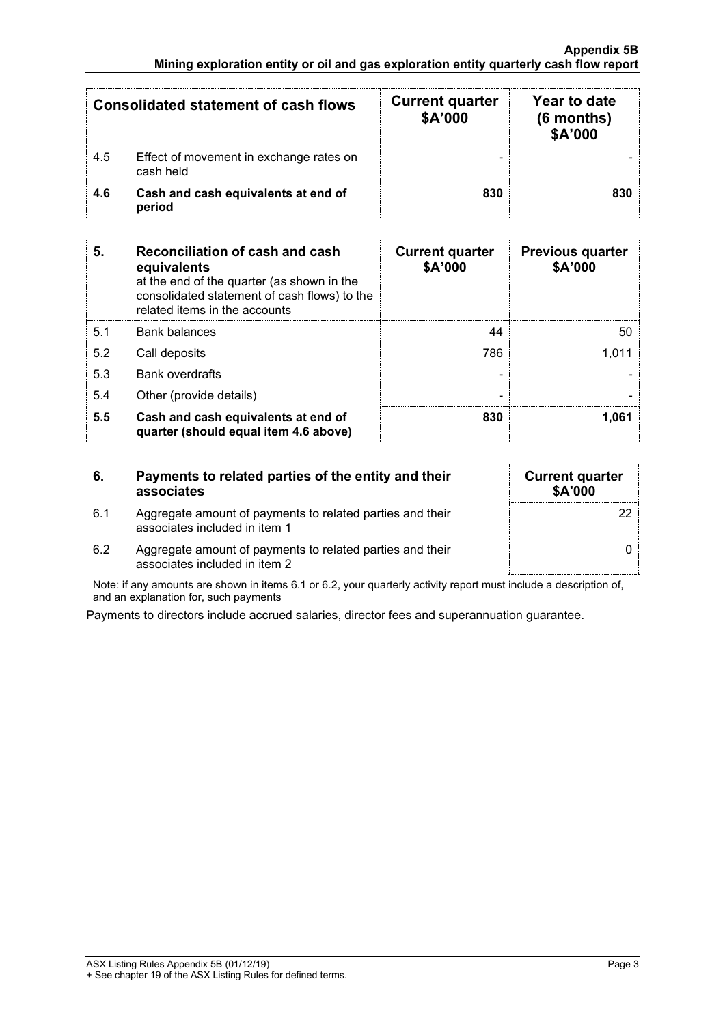|     | <b>Consolidated statement of cash flows</b>          | <b>Current quarter</b><br>\$A'000 | Year to date<br>(6 months)<br>\$A'000 |
|-----|------------------------------------------------------|-----------------------------------|---------------------------------------|
| 4.5 | Effect of movement in exchange rates on<br>cash held |                                   |                                       |
| 4.6 | Cash and cash equivalents at end of<br>period        | 830                               |                                       |

| 5.  | Reconciliation of cash and cash<br>equivalents<br>at the end of the quarter (as shown in the<br>consolidated statement of cash flows) to the<br>related items in the accounts | <b>Current quarter</b><br>\$A'000 | <b>Previous quarter</b><br>\$A'000 |
|-----|-------------------------------------------------------------------------------------------------------------------------------------------------------------------------------|-----------------------------------|------------------------------------|
| 5.1 | <b>Bank balances</b>                                                                                                                                                          | 44                                | 50                                 |
| 5.2 | Call deposits                                                                                                                                                                 | 786                               |                                    |
| 5.3 | <b>Bank overdrafts</b>                                                                                                                                                        |                                   |                                    |
| 5.4 | Other (provide details)                                                                                                                                                       |                                   |                                    |
| 5.5 | Cash and cash equivalents at end of<br>quarter (should equal item 4.6 above)                                                                                                  | 830                               | .061                               |

# **6. Payments to related parties of the entity and their associates**

| 6.1 | Aggregate amount of payments to related parties and their |
|-----|-----------------------------------------------------------|
|     | associates included in item 1                             |

| <b>Current quarter</b><br>\$A'000 |  |
|-----------------------------------|--|
| 22                                |  |
|                                   |  |

6.2 Aggregate amount of payments to related parties and their associates included in item 2

Note: if any amounts are shown in items 6.1 or 6.2, your quarterly activity report must include a description of, and an explanation for, such payments

Payments to directors include accrued salaries, director fees and superannuation guarantee.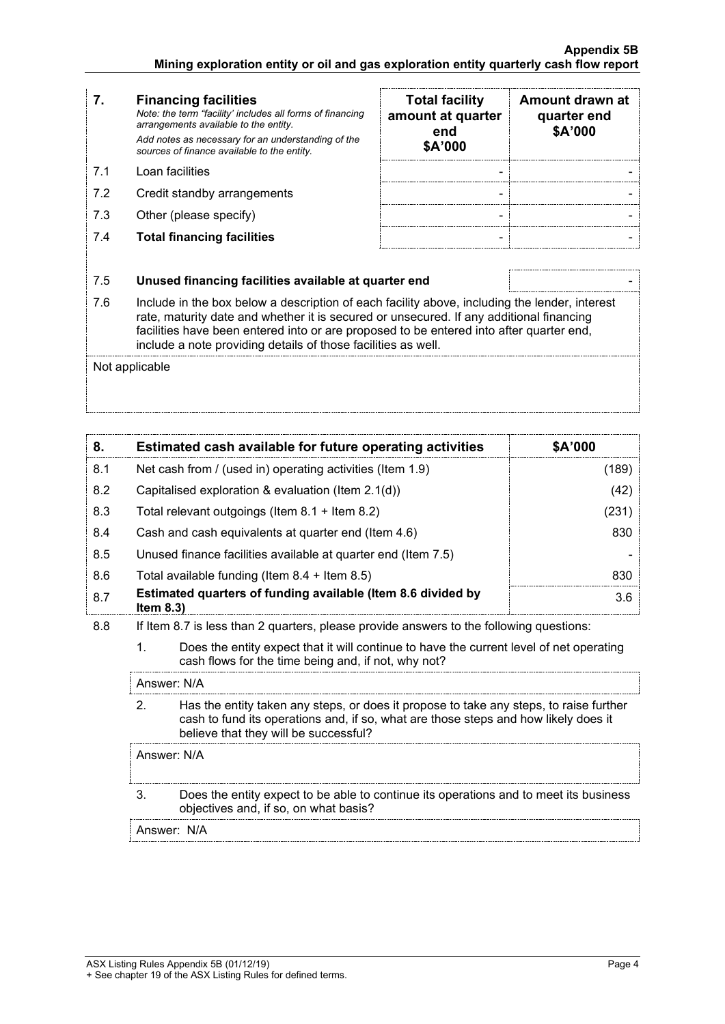- **7. Financing facilities** *Note: the term "facility' includes all forms of financing arrangements available to the entity. Add notes as necessary for an understanding of the sources of finance available to the entity.*
- 7.2 Credit standby arrangements
- 7.3 Other (please specify)
- 7.4 **Total financing facilities** -

|     | <b>Financing facilities</b><br>Note: the term "facility' includes all forms of financing<br>arrangements available to the entity.<br>Add notes as necessary for an understanding of the<br>sources of finance available to the entity. | <b>Total facility</b><br>amount at quarter<br>end<br>\$A'000 | Amount drawn at<br>quarter end<br>\$A'000 |
|-----|----------------------------------------------------------------------------------------------------------------------------------------------------------------------------------------------------------------------------------------|--------------------------------------------------------------|-------------------------------------------|
| 71  | Loan facilities                                                                                                                                                                                                                        |                                                              |                                           |
| 7.2 | Credit standby arrangements                                                                                                                                                                                                            |                                                              |                                           |
| 7.3 | Other (please specify)                                                                                                                                                                                                                 |                                                              |                                           |
| 7.4 | <b>Total financing facilities</b>                                                                                                                                                                                                      |                                                              |                                           |

# 7.5 **Unused financing facilities available at quarter end** -

7.6 Include in the box below a description of each facility above, including the lender, interest rate, maturity date and whether it is secured or unsecured. If any additional financing facilities have been entered into or are proposed to be entered into after quarter end, include a note providing details of those facilities as well.

Not applicable

| 8.  | Estimated cash available for future operating activities                   | <b>SA'000</b> |
|-----|----------------------------------------------------------------------------|---------------|
| 8.1 | Net cash from / (used in) operating activities (Item 1.9)                  | 189           |
| 8.2 | Capitalised exploration & evaluation (Item 2.1(d))                         | (42)          |
| 8.3 | Total relevant outgoings (Item $8.1 +$ Item $8.2$ )                        | 231           |
| 8.4 | Cash and cash equivalents at quarter end (Item 4.6)                        | 830           |
| 8.5 | Unused finance facilities available at quarter end (Item 7.5)              |               |
| 8.6 | Total available funding (Item $8.4$ + Item $8.5$ )                         |               |
| 8.7 | Estimated quarters of funding available (Item 8.6 divided by<br>Item $8.3$ | 3.6           |

- 8.8 If Item 8.7 is less than 2 quarters, please provide answers to the following questions:
	- 1. Does the entity expect that it will continue to have the current level of net operating cash flows for the time being and, if not, why not?

Answer: N/A

2. Has the entity taken any steps, or does it propose to take any steps, to raise further cash to fund its operations and, if so, what are those steps and how likely does it believe that they will be successful?

Answer: N/A

3. Does the entity expect to be able to continue its operations and to meet its business objectives and, if so, on what basis?

Answer: N/A